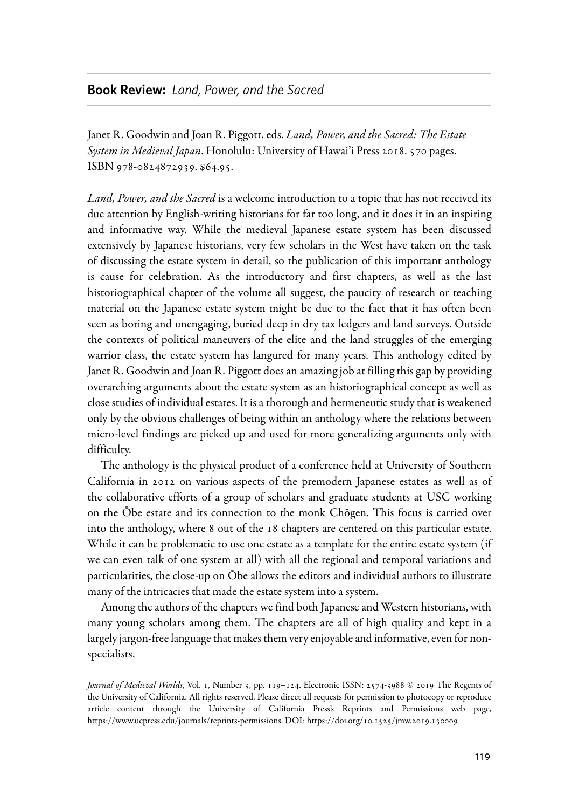## **Book Review:** *Land, Power, and the Sacred*

Janet R. Goodwin and Joan R. Piggott, eds. Land, Power, and the Sacred: The Estate System in Medieval Japan. Honolulu: University of Hawai'i Press 2018. 570 pages. ISBN 978-0824872939. \$64.95.

Land, Power, and the Sacred is a welcome introduction to a topic that has not received its due attention by English-writing historians for far too long, and it does it in an inspiring and informative way. While the medieval Japanese estate system has been discussed extensively by Japanese historians, very few scholars in the West have taken on the task of discussing the estate system in detail, so the publication of this important anthology is cause for celebration. As the introductory and first chapters, as well as the last historiographical chapter of the volume all suggest, the paucity of research or teaching material on the Japanese estate system might be due to the fact that it has often been seen as boring and unengaging, buried deep in dry tax ledgers and land surveys. Outside the contexts of political maneuvers of the elite and the land struggles of the emerging warrior class, the estate system has langured for many years. This anthology edited by Janet R. Goodwin and Joan R. Piggott does an amazing job at filling this gap by providing overarching arguments about the estate system as an historiographical concept as well as close studies of individual estates. It is a thorough and hermeneutic study that is weakened only by the obvious challenges of being within an anthology where the relations between micro-level findings are picked up and used for more generalizing arguments only with difficulty.

The anthology is the physical product of a conference held at University of Southern California in 2012 on various aspects of the premodern Japanese estates as well as of the collaborative efforts of a group of scholars and graduate students at USC working on the Ōbe estate and its connection to the monk Chōgen. This focus is carried over into the anthology, where 8 out of the 18 chapters are centered on this particular estate. While it can be problematic to use one estate as a template for the entire estate system (if we can even talk of one system at all) with all the regional and temporal variations and particularities, the close-up on Ōbe allows the editors and individual authors to illustrate many of the intricacies that made the estate system into a system.

Among the authors of the chapters we find both Japanese and Western historians, with many young scholars among them. The chapters are all of high quality and kept in a largely jargon-free language that makes them very enjoyable and informative, even for nonspecialists.

Journal of Medieval Worlds, Vol. 1, Number 3, pp. 119-124. Electronic ISSN: 2574-3988 © 2019 The Regents of the University of California. All rights reserved. Please direct all requests for permission to photocopy or reproduce article content through the University of California Press's Reprints and Permissions web page, https://www.ucpress.edu/journals/reprints-permissions. DOI: https://doi.org/10.1525/jmw.2019.130009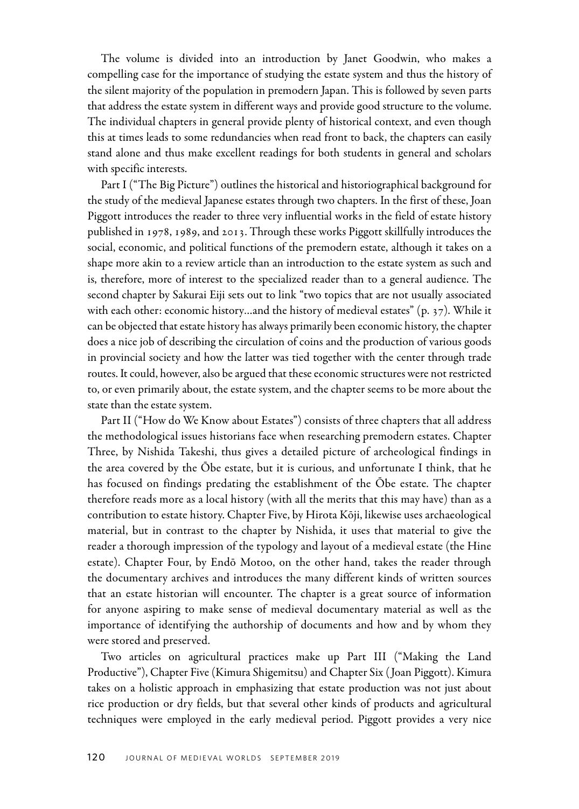The volume is divided into an introduction by Janet Goodwin, who makes a compelling case for the importance of studying the estate system and thus the history of the silent majority of the population in premodern Japan. This is followed by seven parts that address the estate system in different ways and provide good structure to the volume. The individual chapters in general provide plenty of historical context, and even though this at times leads to some redundancies when read front to back, the chapters can easily stand alone and thus make excellent readings for both students in general and scholars with specific interests.

Part I ("The Big Picture") outlines the historical and historiographical background for the study of the medieval Japanese estates through two chapters. In the first of these, Joan Piggott introduces the reader to three very influential works in the field of estate history published in 1978, 1989, and 2013. Through these works Piggott skillfully introduces the social, economic, and political functions of the premodern estate, although it takes on a shape more akin to a review article than an introduction to the estate system as such and is, therefore, more of interest to the specialized reader than to a general audience. The second chapter by Sakurai Eiji sets out to link "two topics that are not usually associated with each other: economic history…and the history of medieval estates" (p. 37). While it can be objected that estate history has always primarily been economic history, the chapter does a nice job of describing the circulation of coins and the production of various goods in provincial society and how the latter was tied together with the center through trade routes. It could, however, also be argued that these economic structures were not restricted to, or even primarily about, the estate system, and the chapter seems to be more about the state than the estate system.

Part II ("How do We Know about Estates") consists of three chapters that all address the methodological issues historians face when researching premodern estates. Chapter Three, by Nishida Takeshi, thus gives a detailed picture of archeological findings in the area covered by the Ōbe estate, but it is curious, and unfortunate I think, that he has focused on findings predating the establishment of the Ōbe estate. The chapter therefore reads more as a local history (with all the merits that this may have) than as a contribution to estate history. Chapter Five, by Hirota Kōji, likewise uses archaeological material, but in contrast to the chapter by Nishida, it uses that material to give the reader a thorough impression of the typology and layout of a medieval estate (the Hine estate). Chapter Four, by Endō Motoo, on the other hand, takes the reader through the documentary archives and introduces the many different kinds of written sources that an estate historian will encounter. The chapter is a great source of information for anyone aspiring to make sense of medieval documentary material as well as the importance of identifying the authorship of documents and how and by whom they were stored and preserved.

Two articles on agricultural practices make up Part III ("Making the Land Productive"), Chapter Five (Kimura Shigemitsu) and Chapter Six ( Joan Piggott). Kimura takes on a holistic approach in emphasizing that estate production was not just about rice production or dry fields, but that several other kinds of products and agricultural techniques were employed in the early medieval period. Piggott provides a very nice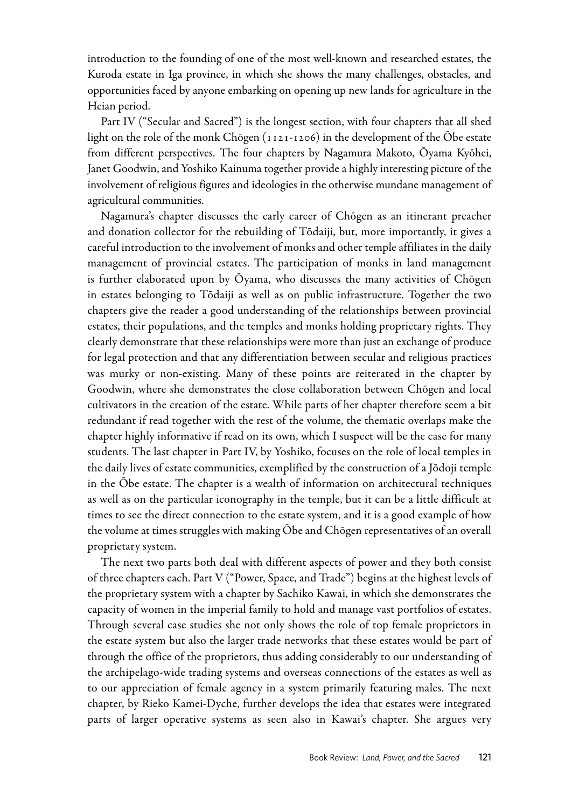introduction to the founding of one of the most well-known and researched estates, the Kuroda estate in Iga province, in which she shows the many challenges, obstacles, and opportunities faced by anyone embarking on opening up new lands for agriculture in the Heian period.

Part IV ("Secular and Sacred") is the longest section, with four chapters that all shed light on the role of the monk Chōgen (1121-1206) in the development of the Ōbe estate from different perspectives. The four chapters by Nagamura Makoto, Ōyama Kyōhei, Janet Goodwin, and Yoshiko Kainuma together provide a highly interesting picture of the involvement of religious figures and ideologies in the otherwise mundane management of agricultural communities.

Nagamura's chapter discusses the early career of Chōgen as an itinerant preacher and donation collector for the rebuilding of Tōdaiji, but, more importantly, it gives a careful introduction to the involvement of monks and other temple affiliates in the daily management of provincial estates. The participation of monks in land management is further elaborated upon by Ōyama, who discusses the many activities of Chōgen in estates belonging to Tōdaiji as well as on public infrastructure. Together the two chapters give the reader a good understanding of the relationships between provincial estates, their populations, and the temples and monks holding proprietary rights. They clearly demonstrate that these relationships were more than just an exchange of produce for legal protection and that any differentiation between secular and religious practices was murky or non-existing. Many of these points are reiterated in the chapter by Goodwin, where she demonstrates the close collaboration between Chōgen and local cultivators in the creation of the estate. While parts of her chapter therefore seem a bit redundant if read together with the rest of the volume, the thematic overlaps make the chapter highly informative if read on its own, which I suspect will be the case for many students. The last chapter in Part IV, by Yoshiko, focuses on the role of local temples in the daily lives of estate communities, exemplified by the construction of a Jōdoji temple in the Ōbe estate. The chapter is a wealth of information on architectural techniques as well as on the particular iconography in the temple, but it can be a little difficult at times to see the direct connection to the estate system, and it is a good example of how the volume at times struggles with making Ōbe and Chōgen representatives of an overall proprietary system.

The next two parts both deal with different aspects of power and they both consist of three chapters each. Part V ("Power, Space, and Trade") begins at the highest levels of the proprietary system with a chapter by Sachiko Kawai, in which she demonstrates the capacity of women in the imperial family to hold and manage vast portfolios of estates. Through several case studies she not only shows the role of top female proprietors in the estate system but also the larger trade networks that these estates would be part of through the office of the proprietors, thus adding considerably to our understanding of the archipelago-wide trading systems and overseas connections of the estates as well as to our appreciation of female agency in a system primarily featuring males. The next chapter, by Rieko Kamei-Dyche, further develops the idea that estates were integrated parts of larger operative systems as seen also in Kawai's chapter. She argues very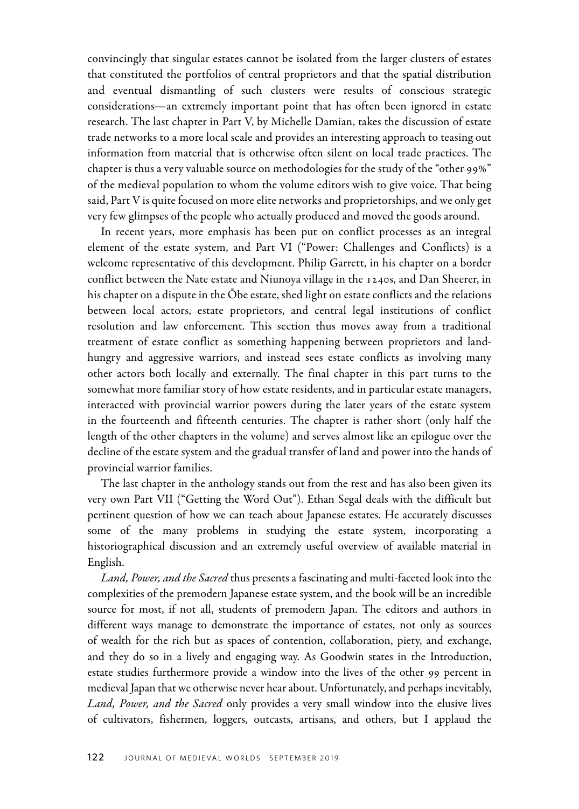convincingly that singular estates cannot be isolated from the larger clusters of estates that constituted the portfolios of central proprietors and that the spatial distribution and eventual dismantling of such clusters were results of conscious strategic considerations—an extremely important point that has often been ignored in estate research. The last chapter in Part V, by Michelle Damian, takes the discussion of estate trade networks to a more local scale and provides an interesting approach to teasing out information from material that is otherwise often silent on local trade practices. The chapter is thus a very valuable source on methodologies for the study of the "other 99%" of the medieval population to whom the volume editors wish to give voice. That being said, Part V is quite focused on more elite networks and proprietorships, and we only get very few glimpses of the people who actually produced and moved the goods around.

In recent years, more emphasis has been put on conflict processes as an integral element of the estate system, and Part VI ("Power: Challenges and Conflicts) is a welcome representative of this development. Philip Garrett, in his chapter on a border conflict between the Nate estate and Niunoya village in the 1240s, and Dan Sheerer, in his chapter on a dispute in the Ōbe estate, shed light on estate conflicts and the relations between local actors, estate proprietors, and central legal institutions of conflict resolution and law enforcement. This section thus moves away from a traditional treatment of estate conflict as something happening between proprietors and landhungry and aggressive warriors, and instead sees estate conflicts as involving many other actors both locally and externally. The final chapter in this part turns to the somewhat more familiar story of how estate residents, and in particular estate managers, interacted with provincial warrior powers during the later years of the estate system in the fourteenth and fifteenth centuries. The chapter is rather short (only half the length of the other chapters in the volume) and serves almost like an epilogue over the decline of the estate system and the gradual transfer of land and power into the hands of provincial warrior families.

The last chapter in the anthology stands out from the rest and has also been given its very own Part VII ("Getting the Word Out"). Ethan Segal deals with the difficult but pertinent question of how we can teach about Japanese estates. He accurately discusses some of the many problems in studying the estate system, incorporating a historiographical discussion and an extremely useful overview of available material in English.

Land, Power, and the Sacred thus presents a fascinating and multi-faceted look into the complexities of the premodern Japanese estate system, and the book will be an incredible source for most, if not all, students of premodern Japan. The editors and authors in different ways manage to demonstrate the importance of estates, not only as sources of wealth for the rich but as spaces of contention, collaboration, piety, and exchange, and they do so in a lively and engaging way. As Goodwin states in the Introduction, estate studies furthermore provide a window into the lives of the other 99 percent in medieval Japan that we otherwise never hear about. Unfortunately, and perhaps inevitably, Land, Power, and the Sacred only provides a very small window into the elusive lives of cultivators, fishermen, loggers, outcasts, artisans, and others, but I applaud the